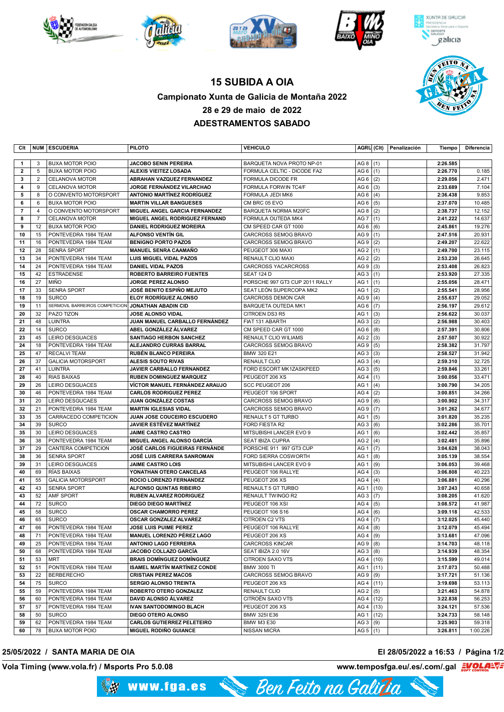







**XUNTA DE GALICIA** 



## **15 SUBIDA A OIA Campionato Xunta de Galicia de Montaña 2022 28 e 29 de maio de 2022 ADESTRAMENTOS SABADO**

| Clt            |                | NUM ESCUDERIA                  | <b>PILOTO</b>                       | <b>VEHICULO</b>                |                 |      | AGRU (Clt) Penalización | Tiempo   | Diferencia |
|----------------|----------------|--------------------------------|-------------------------------------|--------------------------------|-----------------|------|-------------------------|----------|------------|
|                |                |                                |                                     |                                |                 |      |                         |          |            |
| $\mathbf{1}$   | 3              | <b>BUXA MOTOR POIO</b>         | <b>JACOBO SENIN PEREIRA</b>         | BARQUETA NOVA PROTO NP-01      | AG 8 $(1)$      |      |                         | 2:26.585 |            |
| $\overline{2}$ | 5              | <b>BUXA MOTOR POIO</b>         | ALEXIS VIEITEZ LOSADA               | FORMULA CELTIC - DICODE FA2    | AG <sub>6</sub> | (1)  |                         | 2:26.770 | 0.185      |
| 3              | $\overline{2}$ | <b>CELANOVA MOTOR</b>          | ABRAHAN VAZQUEZ FERNANDEZ           | <b>FORMULA DICODE FR</b>       | AG <sub>6</sub> | (2)  |                         | 2:29.056 | 2.471      |
| 4              | 9              | <b>CELANOVA MOTOR</b>          | <b>JORGE FERNÁNDEZ VILARCHAO</b>    | FORMULA FORWIN TC4/F           | AG <sub>6</sub> | (3)  |                         | 2:33.689 | 7.104      |
| 5              | 8              | O CONVENTO MOTORSPORT          | <b>ANTONIO MARTÍNEZ RODRÍGUEZ</b>   | FORMULA JEDI MK6               | AG <sub>6</sub> | (4)  |                         | 2:36.438 | 9.853      |
| 6              | 6              | <b>BUXA MOTOR POIO</b>         | <b>MARTIN VILLAR BANGUESES</b>      | CM BRC 05 EVO                  | AG <sub>6</sub> | (5)  |                         | 2:37.070 | 10.485     |
| $\overline{7}$ | $\overline{4}$ | O CONVENTO MOTORSPORT          | MIGUEL ANGEL GARCIA FERNANDEZ       | <b>BARQUETA NORMA M20FC</b>    | AG <sub>8</sub> | (2)  |                         | 2:38.737 | 12.152     |
| 8              | $\overline{7}$ | <b>CELANOVA MOTOR</b>          | MIGUEL ANGEL RODRIGUEZ FERNAND      | FORMULA OUTEDA MK4             | AG <sub>7</sub> | (1)  |                         | 2:41.222 | 14.637     |
| 9              | 12             | <b>BUXA MOTOR POIO</b>         | <b>DANIEL RODRIGUEZ MOREIRA</b>     | CM SPEED CAR GT 1000           | AG <sub>6</sub> | (6)  |                         | 2:45.861 | 19.276     |
| 10             | 15             | PONTEVEDRA 1984 TEAM           | <b>ALFONSO VENTIN GIL</b>           | <b>CARCROSS SEMOG BRAVO</b>    | AG <sub>9</sub> | (1)  |                         | 2:47.516 | 20.931     |
| 11             | 16             | PONTEVEDRA 1984 TEAM           | <b>BENIGNO PORTO PAZOS</b>          | <b>CARCROSS SEMOG BRAVO</b>    | AG <sub>9</sub> | (2)  |                         | 2:49.207 | 22.622     |
| 12             | 28             | <b>SENRA SPORT</b>             | <b>MANUEL SENRA CAAMAÑO</b>         | PEUGEOT 306 MAXI               | AG <sub>2</sub> | (1)  |                         | 2:49.700 | 23.115     |
| 13             | 34             | PONTEVEDRA 1984 TEAM           | <b>LUIS MIGUEL VIDAL PAZOS</b>      | <b>RENAULT CLIO MAXI</b>       | AG <sub>2</sub> | (2)  |                         | 2:53.230 | 26.645     |
| 14             | 24             | PONTEVEDRA 1984 TEAM           | <b>DANIEL VIDAL PAZOS</b>           | <b>CARCROSS YACARCROSS</b>     | AG <sub>9</sub> | (3)  |                         | 2:53.408 | 26.823     |
| 15             | 42             | <b>ESTRADENSE</b>              | <b>ROBERTO BARREIRO FUENTES</b>     | <b>SEAT 124 D</b>              | AG <sub>3</sub> | (1)  |                         | 2:53.920 | 27.335     |
| 16             | 27             | MIÑO                           | JORGE PEREZ ALONSO                  | PORSCHE 997 GT3 CUP 2011 RALLY | AG <sub>1</sub> | (1)  |                         | 2:55.056 | 28.471     |
| 17             | 33             | <b>SENRA SPORT</b>             | <b>JOSÉ BENITO ESPIÑO MEJUTO</b>    | SEAT LEÓN SUPERCOPA MK2        | AG <sub>1</sub> | (2)  |                         | 2:55.541 | 28.956     |
| 18             | 19             | <b>SURCO</b>                   | <b>ELOY RODRÍGUEZ ALONSO</b>        | <b>CARCROSS DEMON CAR</b>      | AG <sub>9</sub> | (4)  |                         | 2:55.637 | 29.052     |
| 19             | 11             | SERMOVIL BARREIROS COMPETICION | <b>JONATHAN ABADIN CID</b>          | <b>BARQUETA OUTEDA MK1</b>     | AG <sub>6</sub> | (7)  |                         | 2:56.197 | 29.612     |
| 20             | 32             | PAZO TIZON                     | <b>JOSE ALONSO VIDAL</b>            | CITROEN DS3 R5                 | AG <sub>1</sub> | (3)  |                         | 2:56.622 | 30.037     |
| 21             | 48             | <b>LUINTRA</b>                 | JUAN MANUEL CARBALLO FERNÁNDEZ      | FIAT 131 ABARTH                | AG <sub>3</sub> | (2)  |                         | 2:56.988 | 30.403     |
| 22             | 14             | <b>SURCO</b>                   | ABEL GONZÁLEZ ÁLVAREZ               | CM SPEED CAR GT 1000           | AG <sub>6</sub> | (8)  |                         | 2:57.391 | 30.806     |
| 23             | 45             | LEIRO DESGUACES                | <b>SANTIAGO HERBON SANCHEZ</b>      | <b>RENAULT CLIO WILIAMS</b>    | AG <sub>2</sub> | (3)  |                         | 2:57.507 | 30.922     |
| 24             | 18             | PONTEVEDRA 1984 TEAM           | ALEJANDRO CURRAS BARRAL             | CARCROSS SEMOG BRAVO           | AG <sub>9</sub> | (5)  |                         | 2:58.382 | 31.797     |
| 25             | 47             | <b>RECALVI TEAM</b>            | <b>RUBÉN BLANCO PEREIRA</b>         | BMW 320 E21                    | AG <sub>3</sub> | (3)  |                         | 2:58.527 | 31.942     |
| 26             | 37             | <b>GALICIA MOTORSPORT</b>      | <b>ALESIS SOUTO RIVAS</b>           | <b>RENAULT CLIO</b>            | AG <sub>3</sub> | (4)  |                         | 2:59.310 | 32.725     |
| 27             | 41             | <b>LUINTRA</b>                 | JAVIER CARBALLO FERNANDEZ           | FORD ESCORT MK1ZASKPEED        | AG <sub>3</sub> | (5)  |                         | 2:59.846 | 33.261     |
| 28             | 40             | <b>RIAS BAIXAS</b>             | <b>RUBEN DOMINGUEZ MARQUEZ</b>      | PEUGEOT 206 XS                 | AG4             | (1)  |                         | 3:00.056 | 33.471     |
| 29             | 26             | LEIRO DESGUACES                | VÍCTOR MANUEL FERNÁNDEZ ARAUJO      | <b>SCC PEUGEOT 206</b>         | AG <sub>1</sub> | (4)  |                         | 3:00.790 | 34.205     |
| 30             | 46             | PONTEVEDRA 1984 TEAM           | <b>CARLOS RODRIGUEZ PEREZ</b>       | PEUGEOT 106 SPORT              | AG4             | (2)  |                         | 3:00.851 | 34.266     |
| 31             | 20             | LEIRO DESGUCAES                | <b>JUAN GONZÁLEZ COSTAS</b>         | CARCROSS SEMOG BRAVO           | AG <sub>9</sub> | (6)  |                         | 3:00.902 | 34.317     |
| 32             | 21             | PONTEVEDRA 1984 TEAM           | <b>MARTIN IGLESIAS VIDAL</b>        | CARCROSS SEMOG BRAVO           | AG <sub>9</sub> | (7)  |                         | 3:01.262 | 34.677     |
| 33             | 35             | CARRACEDO COMPETICION          | JUAN JOSE COUCEIRO ESCUDERO         | RENAULT 5 GT TURBO             | AG <sub>1</sub> | (5)  |                         | 3:01.820 | 35.235     |
| 34             | 39             | <b>SURCO</b>                   | <b>JAVIER ESTÉVEZ MARTÍNEZ</b>      | <b>FORD FIESTA R2</b>          | AG <sub>3</sub> | (6)  |                         | 3:02.286 | 35.701     |
| 35             | 30             | LEIRO DESGUACES                | <b>JAIME CASTRO CASTRO</b>          | MITSUBISHI LANCER EVO 9        | AG <sub>1</sub> | (6)  |                         | 3:02.442 | 35.857     |
| 36             | 38             | PONTEVEDRA 1984 TEAM           | MIGUEL ANGEL ALONSO GARCÍA          | SEAT IBIZA CUPRA               | AG <sub>2</sub> | (4)  |                         | 3:02.481 | 35.896     |
| 37             | 29             | CANTERA COMPETICION            | JOSÉ CARLOS FIGUEIRAS FERNÁNDE      | PORSCHE 911 997 GT3 CUP        | AG <sub>1</sub> | (7)  |                         | 3:04.628 | 38.043     |
| 38             | 36             | <b>SENRA SPORT</b>             | JOSÉ LUIS CARRERA SANROMAN          | FORD SIERRA COSWORTH           | AG <sub>1</sub> | (8)  |                         | 3:05.139 | 38.554     |
| 39             | 31             | LEIRO DESGUACES                | <b>JAIME CASTRO LOIS</b>            | MITSUBISHI LANCER EVO 9        | AG <sub>1</sub> | (9)  |                         | 3:06.053 | 39.468     |
| 40             | 69             | RÍAS BAIXAS                    | YONATHAN OTERO CANCELAS             | PEUGEOT 106 RALLYE             | AG4             | (3)  |                         | 3:06.808 | 40.223     |
| 41             | 55             | <b>GALICIA MOTORSPORT</b>      | ROCIO LORENZO FERNANDEZ             | PEUGEOT 206 XS                 | AG4             | (4)  |                         | 3:06.881 | 40.296     |
| 42             | 43             | <b>SENRA SPORT</b>             | ALFONSO QUINTAS RIBEIRO             | RENAULT 5 GT TURBO             | AG <sub>1</sub> | (10) |                         | 3:07.243 | 40.658     |
| 43             | 52             | <b>AMF SPORT</b>               | RUBEN ALVAREZ RODRIGUEZ             | RENAULT TWINGO R2              | AG <sub>3</sub> | (7)  |                         | 3:08.205 | 41.620     |
| 44             | 72             | <b>SURCO</b>                   | <b>DIEGO DIEGO MARTÍNEZ</b>         | PEUGEOT 106 XSI                | AG4             | (5)  |                         | 3:08.572 | 41.987     |
| 45             | 58             | <b>SURCO</b>                   | <b>OSCAR CHAMORRO PEREZ</b>         | PEUGEOT 106 S16                | AG4             | (6)  |                         | 3:09.118 | 42.533     |
| 46             | 65             | <b>SURCO</b>                   | <b>OSCAR GONZALEZ ALVAREZ</b>       | CITROEN C2 VTS                 | AG4             | (7)  |                         | 3:12.025 | 45.440     |
| 47             | 66             | PONTEVEDRA 1984 TEAM           | <b>JOSE LUIS PUIME PEREZ</b>        | PEUGEOT 106 RALLYE             | AG $4   (8)$    |      |                         | 3:12.079 | 45.494     |
| 48             | 71             | PONTEVEDRA 1984 TEAM           | <b>MANUEL LORENZO PÉREZ LAGO</b>    | PEUGEOT 206 XS                 | AG $4   (9)$    |      |                         | 3:13.681 | 47.096     |
| 49             | 25             | PONTEVEDRA 1984 TEAM           | <b>ANTONIO LAGO FERREIRA</b>        | <b>CARCROSS KINCAR</b>         | AG $9 (8)$      |      |                         | 3:14.703 | 48.118     |
| 50             | 68             | PONTEVEDRA 1984 TEAM           | JACOBO COLLAZO GARCÍA               | SEAT IBIZA 2.0 16V             | AG3             | (8)  |                         | 3:14.939 | 48.354     |
| 51             | 53             | <b>MRT</b>                     | <b>BRAIS DOMÍNGUEZ DOMÍNGUEZ</b>    | <b>CITROEN SAXO VTS</b>        | AG4   (10)      |      |                         | 3:15.599 | 49.014     |
| 52             | 51             | PONTEVEDRA 1984 TEAM           | <b>ISAMEL MARTÍN MARTÍNEZ CONDE</b> | <b>BMW 3000 TI</b>             | AG 1   (11)     |      |                         | 3:17.073 | 50.488     |
| 53             | 22             | <b>BERBERECHO</b>              | <b>CRISTIAN PEREZ MACOS</b>         | CARCROSS SEMOG BRAVO           | AG $9   (9)$    |      |                         | 3:17.721 | 51.136     |
| 54             | 75             | <b>SURCO</b>                   | SERGIO ALONSO TREINTA               | PEUGEOT 206 XS                 | AG4   (11)      |      |                         | 3:19.698 | 53.113     |
| 55             | 59             | PONTEVEDRA 1984 TEAM           | ROBERTO OTERO GONZALEZ              | <b>RENAULT CLIO</b>            | AG <sub>2</sub> | (5)  |                         | 3:21.463 | 54.878     |
| 56             | 60             | PONTEVEDRA 1984 TEAM           | <b>DAVID ALONSO ÁLVAREZ</b>         | CITROËN SAXO VTS               | AG4   (12)      |      |                         | 3:22.838 | 56.253     |
| 57             | 57             | PONTEVEDRA 1984 TEAM           | <b>IVAN SANTODOMINGO BLACH</b>      | PEUGEOT 206 XS                 | AG4   (13)      |      |                         | 3:24.121 | 57.536     |
| 58             | 50             | <b>SURCO</b>                   | DIEGO OTERO ALONSO                  | BMW 325I E36                   | AG $1   (12)$   |      |                         | 3:24.733 | 58.148     |
| 59             | 62             | PONTEVEDRA 1984 TEAM           | <b>CARLOS GUTIERREZ PELETEIRO</b>   | <b>BMW M3 E30</b>              | AG3             | (9)  |                         | 3:25.903 | 59.318     |
| 60             | 78             | <b>BUXA MOTOR POIO</b>         | <b>MIGUEL RODIÑO GUIANCE</b>        | <b>NISSAN MICRA</b>            | AG $5   (1)$    |      |                         | 3:26.811 | 1:00.226   |
|                |                |                                |                                     |                                |                 |      |                         |          |            |

## **25/05/2022 / SANTA MARIA DE OIA El 28/05/2022 a 16:53 / Página 1/2**

**Vola Timing (www.vola.fr) / Msports Pro 5.0.08 www.temposfga.eu/.es/.com/.gal**

**Volador Control** 

Ben Feito na Galitia www.fga.es